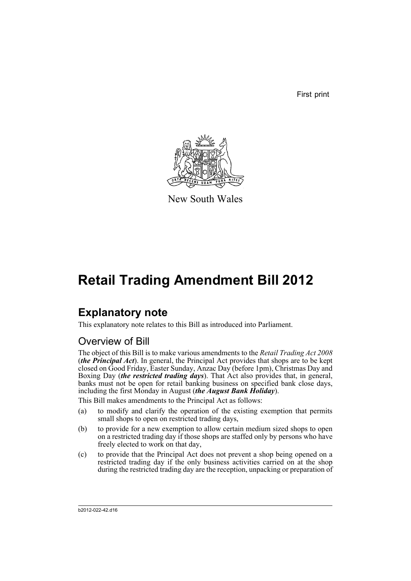First print



New South Wales

# **Retail Trading Amendment Bill 2012**

# **Explanatory note**

This explanatory note relates to this Bill as introduced into Parliament.

## Overview of Bill

The object of this Bill is to make various amendments to the *Retail Trading Act 2008* (*the Principal Act*). In general, the Principal Act provides that shops are to be kept closed on Good Friday, Easter Sunday, Anzac Day (before 1pm), Christmas Day and Boxing Day (*the restricted trading days*). That Act also provides that, in general, banks must not be open for retail banking business on specified bank close days, including the first Monday in August (*the August Bank Holiday*).

This Bill makes amendments to the Principal Act as follows:

- (a) to modify and clarify the operation of the existing exemption that permits small shops to open on restricted trading days,
- (b) to provide for a new exemption to allow certain medium sized shops to open on a restricted trading day if those shops are staffed only by persons who have freely elected to work on that day,
- (c) to provide that the Principal Act does not prevent a shop being opened on a restricted trading day if the only business activities carried on at the shop during the restricted trading day are the reception, unpacking or preparation of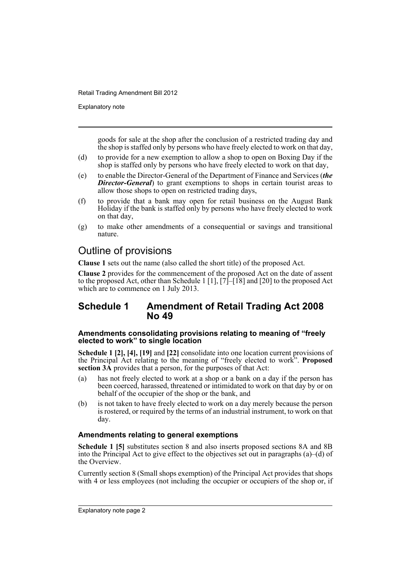Explanatory note

goods for sale at the shop after the conclusion of a restricted trading day and the shop is staffed only by persons who have freely elected to work on that day,

- (d) to provide for a new exemption to allow a shop to open on Boxing Day if the shop is staffed only by persons who have freely elected to work on that day,
- (e) to enable the Director-General of the Department of Finance and Services (*the Director-General*) to grant exemptions to shops in certain tourist areas to allow those shops to open on restricted trading days,
- (f) to provide that a bank may open for retail business on the August Bank Holiday if the bank is staffed only by persons who have freely elected to work on that day,
- (g) to make other amendments of a consequential or savings and transitional nature.

### Outline of provisions

**Clause 1** sets out the name (also called the short title) of the proposed Act.

**Clause 2** provides for the commencement of the proposed Act on the date of assent to the proposed Act, other than Schedule 1 [1], [7]–[18] and [20] to the proposed Act which are to commence on 1 July 2013.

### **Schedule 1 Amendment of Retail Trading Act 2008 No 49**

#### **Amendments consolidating provisions relating to meaning of "freely elected to work" to single location**

**Schedule 1 [2], [4], [19]** and **[22]** consolidate into one location current provisions of the Principal Act relating to the meaning of "freely elected to work". **Proposed section 3A** provides that a person, for the purposes of that Act:

- (a) has not freely elected to work at a shop or a bank on a day if the person has been coerced, harassed, threatened or intimidated to work on that day by or on behalf of the occupier of the shop or the bank, and
- (b) is not taken to have freely elected to work on a day merely because the person is rostered, or required by the terms of an industrial instrument, to work on that day.

#### **Amendments relating to general exemptions**

**Schedule 1 [5]** substitutes section 8 and also inserts proposed sections 8A and 8B into the Principal Act to give effect to the objectives set out in paragraphs  $(a)$ –(d) of the Overview.

Currently section 8 (Small shops exemption) of the Principal Act provides that shops with 4 or less employees (not including the occupier or occupiers of the shop or, if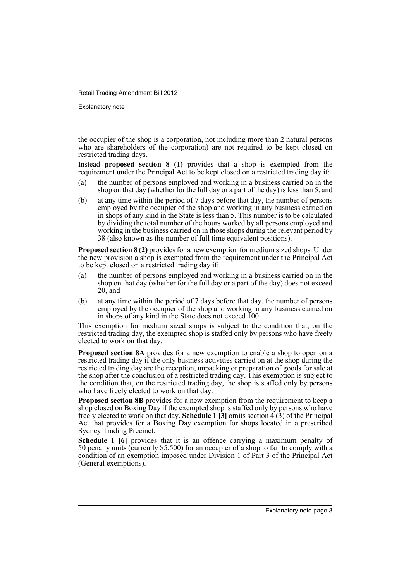Explanatory note

the occupier of the shop is a corporation, not including more than 2 natural persons who are shareholders of the corporation) are not required to be kept closed on restricted trading days.

Instead **proposed section 8 (1)** provides that a shop is exempted from the requirement under the Principal Act to be kept closed on a restricted trading day if:

- (a) the number of persons employed and working in a business carried on in the shop on that day (whether for the full day or a part of the day) is less than 5, and
- (b) at any time within the period of 7 days before that day, the number of persons employed by the occupier of the shop and working in any business carried on in shops of any kind in the State is less than 5. This number is to be calculated by dividing the total number of the hours worked by all persons employed and working in the business carried on in those shops during the relevant period by 38 (also known as the number of full time equivalent positions).

**Proposed section 8 (2)** provides for a new exemption for medium sized shops. Under the new provision a shop is exempted from the requirement under the Principal Act to be kept closed on a restricted trading day if:

- (a) the number of persons employed and working in a business carried on in the shop on that day (whether for the full day or a part of the day) does not exceed 20, and
- (b) at any time within the period of 7 days before that day, the number of persons employed by the occupier of the shop and working in any business carried on in shops of any kind in the State does not exceed 100.

This exemption for medium sized shops is subject to the condition that, on the restricted trading day, the exempted shop is staffed only by persons who have freely elected to work on that day.

**Proposed section 8A** provides for a new exemption to enable a shop to open on a restricted trading day if the only business activities carried on at the shop during the restricted trading day are the reception, unpacking or preparation of goods for sale at the shop after the conclusion of a restricted trading day. This exemption is subject to the condition that, on the restricted trading day, the shop is staffed only by persons who have freely elected to work on that day.

**Proposed section 8B** provides for a new exemption from the requirement to keep a shop closed on Boxing Day if the exempted shop is staffed only by persons who have freely elected to work on that day. **Schedule 1**  $\vec{3}$  omits section 4  $\vec{3}$  of the Principal Act that provides for a Boxing Day exemption for shops located in a prescribed Sydney Trading Precinct.

**Schedule 1 [6]** provides that it is an offence carrying a maximum penalty of 50 penalty units (currently \$5,500) for an occupier of a shop to fail to comply with a condition of an exemption imposed under Division 1 of Part 3 of the Principal Act (General exemptions).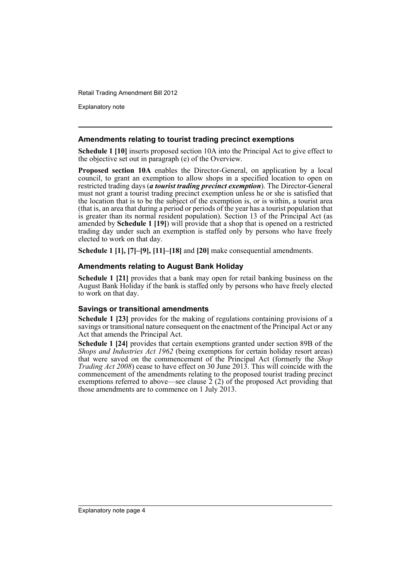Explanatory note

#### **Amendments relating to tourist trading precinct exemptions**

**Schedule 1 [10]** inserts proposed section 10A into the Principal Act to give effect to the objective set out in paragraph (e) of the Overview.

**Proposed section 10A** enables the Director-General, on application by a local council, to grant an exemption to allow shops in a specified location to open on restricted trading days (*a tourist trading precinct exemption*). The Director-General must not grant a tourist trading precinct exemption unless he or she is satisfied that the location that is to be the subject of the exemption is, or is within, a tourist area (that is, an area that during a period or periods of the year has a tourist population that is greater than its normal resident population). Section 13 of the Principal Act (as amended by **Schedule 1 [19]**) will provide that a shop that is opened on a restricted trading day under such an exemption is staffed only by persons who have freely elected to work on that day.

**Schedule 1 [1], [7]–[9], [11]–[18]** and **[20]** make consequential amendments.

#### **Amendments relating to August Bank Holiday**

**Schedule 1 [21]** provides that a bank may open for retail banking business on the August Bank Holiday if the bank is staffed only by persons who have freely elected to work on that day.

#### **Savings or transitional amendments**

**Schedule 1 [23]** provides for the making of regulations containing provisions of a savings or transitional nature consequent on the enactment of the Principal Act or any Act that amends the Principal Act.

**Schedule 1 [24]** provides that certain exemptions granted under section 89B of the *Shops and Industries Act 1962* (being exemptions for certain holiday resort areas) that were saved on the commencement of the Principal Act (formerly the *Shop Trading Act 2008*) cease to have effect on 30 June 2013. This will coincide with the commencement of the amendments relating to the proposed tourist trading precinct exemptions referred to above—see clause  $\tilde{2}$  (2) of the proposed Act providing that those amendments are to commence on 1 July 2013.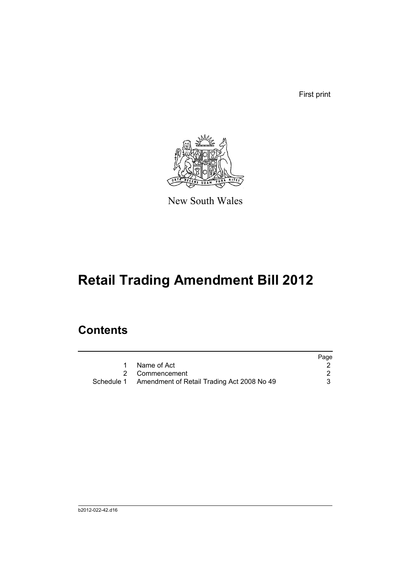First print



New South Wales

# **Retail Trading Amendment Bill 2012**

# **Contents**

|                                                       | Page |
|-------------------------------------------------------|------|
| Name of Act                                           |      |
| 2 Commencement                                        |      |
| Schedule 1 Amendment of Retail Trading Act 2008 No 49 |      |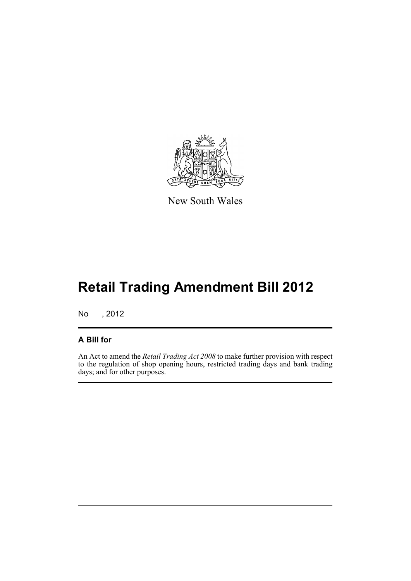

New South Wales

# **Retail Trading Amendment Bill 2012**

No , 2012

#### **A Bill for**

An Act to amend the *Retail Trading Act 2008* to make further provision with respect to the regulation of shop opening hours, restricted trading days and bank trading days; and for other purposes.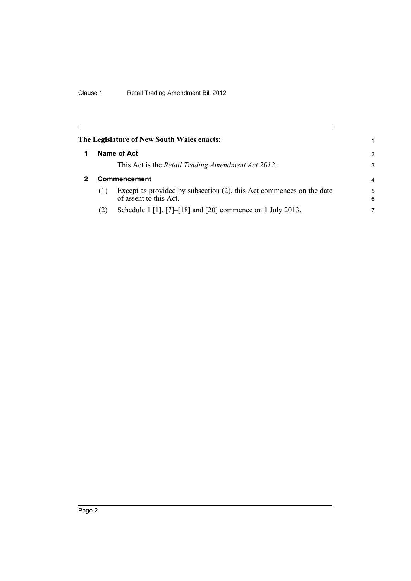<span id="page-7-1"></span><span id="page-7-0"></span>

|     | The Legislature of New South Wales enacts:                                                     |                |
|-----|------------------------------------------------------------------------------------------------|----------------|
|     | Name of Act                                                                                    | $\overline{2}$ |
|     | This Act is the <i>Retail Trading Amendment Act 2012</i> .                                     | 3              |
|     | <b>Commencement</b>                                                                            | $\overline{4}$ |
| (1) | Except as provided by subsection (2), this Act commences on the date<br>of assent to this Act. | 5<br>6         |
| (2) | Schedule 1 [1], [7]-[18] and [20] commence on 1 July 2013.                                     | 7              |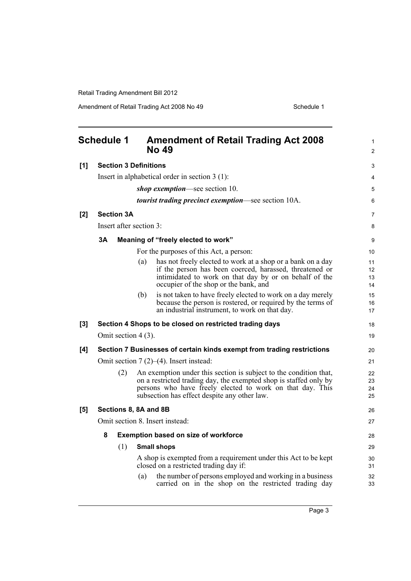<span id="page-8-0"></span>

|     | <b>Schedule 1</b> |                   |                              | <b>Amendment of Retail Trading Act 2008</b><br><b>No 49</b>                                                                                                                                                                                         | 1<br>$\overline{2}$  |
|-----|-------------------|-------------------|------------------------------|-----------------------------------------------------------------------------------------------------------------------------------------------------------------------------------------------------------------------------------------------------|----------------------|
| [1] |                   |                   | <b>Section 3 Definitions</b> |                                                                                                                                                                                                                                                     | 3                    |
|     |                   |                   |                              | Insert in alphabetical order in section $3(1)$ :                                                                                                                                                                                                    | 4                    |
|     |                   |                   |                              | shop exemption—see section 10.                                                                                                                                                                                                                      | 5                    |
|     |                   |                   |                              | <i>tourist trading precinct exemption—see section 10A.</i>                                                                                                                                                                                          | 6                    |
| [2] |                   | <b>Section 3A</b> |                              |                                                                                                                                                                                                                                                     | $\overline{7}$       |
|     |                   |                   | Insert after section 3:      |                                                                                                                                                                                                                                                     | 8                    |
|     | 3A                |                   |                              | Meaning of "freely elected to work"                                                                                                                                                                                                                 | 9                    |
|     |                   |                   |                              | For the purposes of this Act, a person:                                                                                                                                                                                                             | 10                   |
|     |                   |                   | (a)                          | has not freely elected to work at a shop or a bank on a day<br>if the person has been coerced, harassed, threatened or<br>intimidated to work on that day by or on behalf of the<br>occupier of the shop or the bank, and                           | 11<br>12<br>13<br>14 |
|     |                   |                   | (b)                          | is not taken to have freely elected to work on a day merely<br>because the person is rostered, or required by the terms of<br>an industrial instrument, to work on that day.                                                                        | 15<br>16<br>17       |
| [3] |                   |                   |                              | Section 4 Shops to be closed on restricted trading days                                                                                                                                                                                             | 18                   |
|     |                   |                   | Omit section 4 (3).          |                                                                                                                                                                                                                                                     | 19                   |
| [4] |                   |                   |                              | Section 7 Businesses of certain kinds exempt from trading restrictions                                                                                                                                                                              | 20                   |
|     |                   |                   |                              | Omit section $7(2)$ – $(4)$ . Insert instead:                                                                                                                                                                                                       | 21                   |
|     |                   | (2)               |                              | An exemption under this section is subject to the condition that,<br>on a restricted trading day, the exempted shop is staffed only by<br>persons who have freely elected to work on that day. This<br>subsection has effect despite any other law. | 22<br>23<br>24<br>25 |
| [5] |                   |                   | Sections 8, 8A and 8B        |                                                                                                                                                                                                                                                     | 26                   |
|     |                   |                   |                              | Omit section 8. Insert instead:                                                                                                                                                                                                                     | 27                   |
|     | 8                 |                   |                              | <b>Exemption based on size of workforce</b>                                                                                                                                                                                                         | 28                   |
|     |                   | (1)               |                              | <b>Small shops</b>                                                                                                                                                                                                                                  | 29                   |
|     |                   |                   |                              | A shop is exempted from a requirement under this Act to be kept<br>closed on a restricted trading day if:                                                                                                                                           | 30<br>31             |
|     |                   |                   | (a)                          | the number of persons employed and working in a business<br>carried on in the shop on the restricted trading day                                                                                                                                    | 32<br>33             |
|     |                   |                   |                              |                                                                                                                                                                                                                                                     |                      |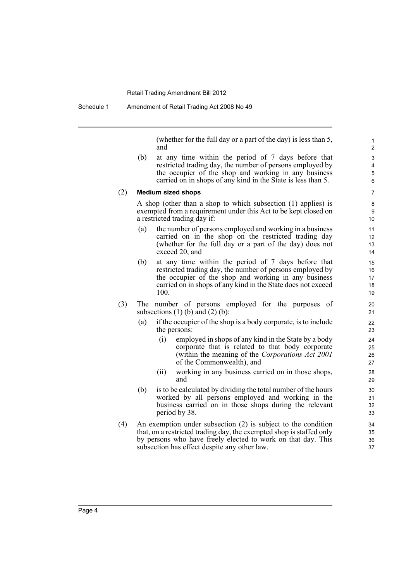(whether for the full day or a part of the day) is less than 5, and

(b) at any time within the period of 7 days before that restricted trading day, the number of persons employed by the occupier of the shop and working in any business carried on in shops of any kind in the State is less than 5.

#### (2) **Medium sized shops**

A shop (other than a shop to which subsection (1) applies) is exempted from a requirement under this Act to be kept closed on a restricted trading day if:

- (a) the number of persons employed and working in a business carried on in the shop on the restricted trading day (whether for the full day or a part of the day) does not exceed 20, and
- (b) at any time within the period of 7 days before that restricted trading day, the number of persons employed by the occupier of the shop and working in any business carried on in shops of any kind in the State does not exceed 100.
- (3) The number of persons employed for the purposes of subsections  $(1)$  (b) and  $(2)$  (b):
	- (a) if the occupier of the shop is a body corporate, is to include the persons:
		- (i) employed in shops of any kind in the State by a body corporate that is related to that body corporate (within the meaning of the *Corporations Act 2001* of the Commonwealth), and
		- (ii) working in any business carried on in those shops, and
	- (b) is to be calculated by dividing the total number of the hours worked by all persons employed and working in the business carried on in those shops during the relevant period by 38.
- (4) An exemption under subsection (2) is subject to the condition that, on a restricted trading day, the exempted shop is staffed only by persons who have freely elected to work on that day. This subsection has effect despite any other law.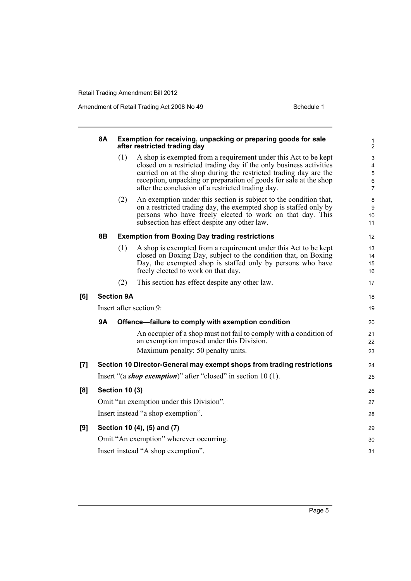|     | <b>8A</b>                          |                       | Exemption for receiving, unpacking or preparing goods for sale<br>after restricted trading day                                                                                                                                                                                                                                      | 1<br>$\overline{2}$                |
|-----|------------------------------------|-----------------------|-------------------------------------------------------------------------------------------------------------------------------------------------------------------------------------------------------------------------------------------------------------------------------------------------------------------------------------|------------------------------------|
|     |                                    | (1)                   | A shop is exempted from a requirement under this Act to be kept<br>closed on a restricted trading day if the only business activities<br>carried on at the shop during the restricted trading day are the<br>reception, unpacking or preparation of goods for sale at the shop<br>after the conclusion of a restricted trading day. | 3<br>4<br>5<br>6<br>$\overline{7}$ |
|     |                                    | (2)                   | An exemption under this section is subject to the condition that,<br>on a restricted trading day, the exempted shop is staffed only by<br>persons who have freely elected to work on that day. This<br>subsection has effect despite any other law.                                                                                 | 8<br>9<br>10<br>11                 |
|     | 8Β                                 |                       | <b>Exemption from Boxing Day trading restrictions</b>                                                                                                                                                                                                                                                                               | 12                                 |
|     |                                    | (1)                   | A shop is exempted from a requirement under this Act to be kept<br>closed on Boxing Day, subject to the condition that, on Boxing<br>Day, the exempted shop is staffed only by persons who have<br>freely elected to work on that day.                                                                                              | 13<br>14<br>15<br>16               |
|     |                                    | (2)                   | This section has effect despite any other law.                                                                                                                                                                                                                                                                                      | 17                                 |
| [6] |                                    | <b>Section 9A</b>     |                                                                                                                                                                                                                                                                                                                                     | 18                                 |
|     |                                    |                       | Insert after section 9:                                                                                                                                                                                                                                                                                                             | 19                                 |
|     | <b>9A</b>                          |                       | Offence-failure to comply with exemption condition                                                                                                                                                                                                                                                                                  | 20                                 |
|     |                                    |                       | An occupier of a shop must not fail to comply with a condition of<br>an exemption imposed under this Division.                                                                                                                                                                                                                      | 21<br>22                           |
|     |                                    |                       | Maximum penalty: 50 penalty units.                                                                                                                                                                                                                                                                                                  | 23                                 |
| [7] |                                    |                       | Section 10 Director-General may exempt shops from trading restrictions                                                                                                                                                                                                                                                              | 24                                 |
|     |                                    |                       | Insert "(a shop exemption)" after "closed" in section 10 (1).                                                                                                                                                                                                                                                                       | 25                                 |
| [8] |                                    | <b>Section 10 (3)</b> |                                                                                                                                                                                                                                                                                                                                     | 26                                 |
|     |                                    |                       | Omit "an exemption under this Division".                                                                                                                                                                                                                                                                                            | 27                                 |
|     |                                    |                       | Insert instead "a shop exemption".                                                                                                                                                                                                                                                                                                  | 28                                 |
| [9] |                                    |                       | Section 10 (4), (5) and (7)                                                                                                                                                                                                                                                                                                         | 29                                 |
|     |                                    |                       | Omit "An exemption" wherever occurring.                                                                                                                                                                                                                                                                                             | 30                                 |
|     | Insert instead "A shop exemption". |                       |                                                                                                                                                                                                                                                                                                                                     |                                    |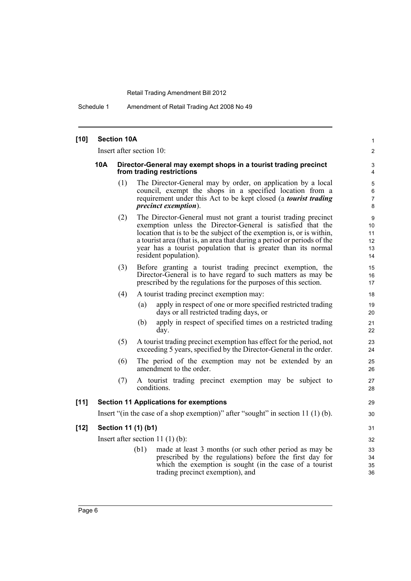Schedule 1 Amendment of Retail Trading Act 2008 No 49

| $[10]$ |            | <b>Section 10A</b> |                                                                                                                                                                                                                                                                                                                                                                             | $\mathbf{1}$                    |
|--------|------------|--------------------|-----------------------------------------------------------------------------------------------------------------------------------------------------------------------------------------------------------------------------------------------------------------------------------------------------------------------------------------------------------------------------|---------------------------------|
|        |            |                    | Insert after section 10:                                                                                                                                                                                                                                                                                                                                                    | $\overline{2}$                  |
|        | <b>10A</b> |                    | Director-General may exempt shops in a tourist trading precinct<br>from trading restrictions                                                                                                                                                                                                                                                                                | 3<br>$\overline{4}$             |
|        |            | (1)                | The Director-General may by order, on application by a local<br>council, exempt the shops in a specified location from a<br>requirement under this Act to be kept closed (a tourist trading<br><i>precinct exemption</i> ).                                                                                                                                                 | 5<br>6<br>7<br>8                |
|        |            | (2)                | The Director-General must not grant a tourist trading precinct<br>exemption unless the Director-General is satisfied that the<br>location that is to be the subject of the exemption is, or is within,<br>a tourist area (that is, an area that during a period or periods of the<br>year has a tourist population that is greater than its normal<br>resident population). | 9<br>10<br>11<br>12<br>13<br>14 |
|        |            | (3)                | Before granting a tourist trading precinct exemption, the<br>Director-General is to have regard to such matters as may be<br>prescribed by the regulations for the purposes of this section.                                                                                                                                                                                | 15<br>16<br>17                  |
|        |            | (4)                | A tourist trading precinct exemption may:<br>apply in respect of one or more specified restricted trading<br>(a)<br>days or all restricted trading days, or<br>apply in respect of specified times on a restricted trading<br>(b)<br>day.                                                                                                                                   | 18<br>19<br>20<br>21<br>22      |
|        |            | (5)                | A tourist trading precinct exemption has effect for the period, not<br>exceeding 5 years, specified by the Director-General in the order.                                                                                                                                                                                                                                   | 23<br>24                        |
|        |            | (6)                | The period of the exemption may not be extended by an<br>amendment to the order.                                                                                                                                                                                                                                                                                            | 25<br>26                        |
|        |            | (7)                | A tourist trading precinct exemption may be subject to<br>conditions.                                                                                                                                                                                                                                                                                                       | 27<br>28                        |
| $[11]$ |            |                    | <b>Section 11 Applications for exemptions</b>                                                                                                                                                                                                                                                                                                                               | 29                              |
|        |            |                    | Insert "(in the case of a shop exemption)" after "sought" in section $11(1)(b)$ .                                                                                                                                                                                                                                                                                           | 30                              |
| $[12]$ |            |                    | Section 11 (1) (b1)                                                                                                                                                                                                                                                                                                                                                         | 31                              |
|        |            |                    | Insert after section 11 $(1)$ $(b)$ :                                                                                                                                                                                                                                                                                                                                       | 32                              |
|        |            |                    | made at least 3 months (or such other period as may be<br>(b1)<br>prescribed by the regulations) before the first day for<br>which the exemption is sought (in the case of a tourist<br>trading precinct exemption), and                                                                                                                                                    | 33<br>34<br>35<br>36            |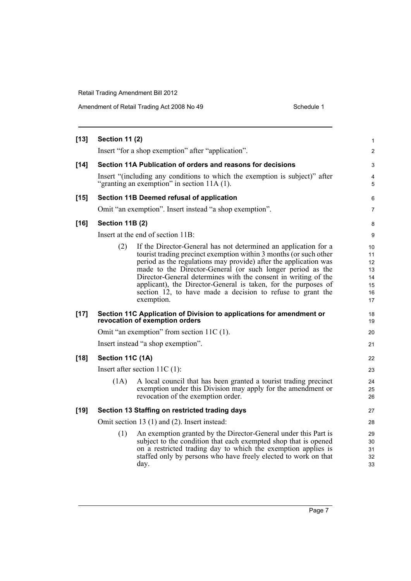| $[13]$ | <b>Section 11 (2)</b>  |                                                                                                                                                                                                                                                                                                                                                                                                                                                                                        | 1                                            |
|--------|------------------------|----------------------------------------------------------------------------------------------------------------------------------------------------------------------------------------------------------------------------------------------------------------------------------------------------------------------------------------------------------------------------------------------------------------------------------------------------------------------------------------|----------------------------------------------|
|        |                        | Insert "for a shop exemption" after "application".                                                                                                                                                                                                                                                                                                                                                                                                                                     | 2                                            |
| $[14]$ |                        | Section 11A Publication of orders and reasons for decisions                                                                                                                                                                                                                                                                                                                                                                                                                            | 3                                            |
|        |                        | Insert "(including any conditions to which the exemption is subject)" after<br>"granting an exemption" in section $11A(1)$ .                                                                                                                                                                                                                                                                                                                                                           | 4<br>5                                       |
| $[15]$ |                        | Section 11B Deemed refusal of application                                                                                                                                                                                                                                                                                                                                                                                                                                              | 6                                            |
|        |                        | Omit "an exemption". Insert instead "a shop exemption".                                                                                                                                                                                                                                                                                                                                                                                                                                | $\overline{7}$                               |
| $[16]$ | <b>Section 11B (2)</b> |                                                                                                                                                                                                                                                                                                                                                                                                                                                                                        | 8                                            |
|        |                        | Insert at the end of section 11B:                                                                                                                                                                                                                                                                                                                                                                                                                                                      | 9                                            |
|        | (2)                    | If the Director-General has not determined an application for a<br>tourist trading precinct exemption within 3 months (or such other<br>period as the regulations may provide) after the application was<br>made to the Director-General (or such longer period as the<br>Director-General determines with the consent in writing of the<br>applicant), the Director-General is taken, for the purposes of<br>section 12, to have made a decision to refuse to grant the<br>exemption. | 10<br>11<br>12<br>13<br>14<br>15<br>16<br>17 |
| $[17]$ |                        | Section 11C Application of Division to applications for amendment or<br>revocation of exemption orders                                                                                                                                                                                                                                                                                                                                                                                 | 18<br>19                                     |
|        |                        | Omit "an exemption" from section $11C(1)$ .                                                                                                                                                                                                                                                                                                                                                                                                                                            | 20                                           |
|        |                        | Insert instead "a shop exemption".                                                                                                                                                                                                                                                                                                                                                                                                                                                     | 21                                           |
| $[18]$ | Section 11C (1A)       |                                                                                                                                                                                                                                                                                                                                                                                                                                                                                        | 22                                           |
|        |                        | Insert after section $11C(1)$ :                                                                                                                                                                                                                                                                                                                                                                                                                                                        | 23                                           |
|        | (1A)                   | A local council that has been granted a tourist trading precinct<br>exemption under this Division may apply for the amendment or<br>revocation of the exemption order.                                                                                                                                                                                                                                                                                                                 | 24<br>25<br>26                               |
| $[19]$ |                        | Section 13 Staffing on restricted trading days                                                                                                                                                                                                                                                                                                                                                                                                                                         | 27                                           |
|        |                        | Omit section 13 (1) and (2). Insert instead:                                                                                                                                                                                                                                                                                                                                                                                                                                           | 28                                           |
|        | (1)                    | An exemption granted by the Director-General under this Part is<br>subject to the condition that each exempted shop that is opened<br>on a restricted trading day to which the exemption applies is<br>staffed only by persons who have freely elected to work on that<br>day.                                                                                                                                                                                                         | 29<br>30<br>31<br>32<br>33                   |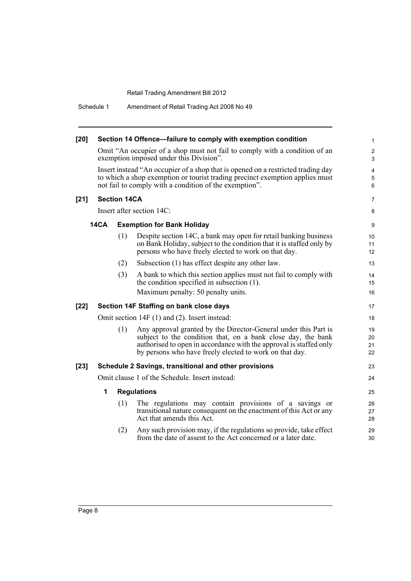Schedule 1 Amendment of Retail Trading Act 2008 No 49

| $[20]$ |                     | Section 14 Offence-failure to comply with exemption condition                                                                                                                                                                                                           | 1                                 |
|--------|---------------------|-------------------------------------------------------------------------------------------------------------------------------------------------------------------------------------------------------------------------------------------------------------------------|-----------------------------------|
|        |                     | Omit "An occupier of a shop must not fail to comply with a condition of an<br>exemption imposed under this Division".                                                                                                                                                   | $\overline{2}$<br>3               |
|        |                     | Insert instead "An occupier of a shop that is opened on a restricted trading day<br>to which a shop exemption or tourist trading precinct exemption applies must<br>not fail to comply with a condition of the exemption".                                              | $\overline{\mathbf{4}}$<br>5<br>6 |
| $[21]$ | <b>Section 14CA</b> |                                                                                                                                                                                                                                                                         | 7                                 |
|        |                     | Insert after section 14C:                                                                                                                                                                                                                                               | 8                                 |
|        | <b>14CA</b>         | <b>Exemption for Bank Holiday</b>                                                                                                                                                                                                                                       | 9                                 |
|        |                     | (1)<br>Despite section 14C, a bank may open for retail banking business<br>on Bank Holiday, subject to the condition that it is staffed only by<br>persons who have freely elected to work on that day.                                                                 | 10<br>11<br>12                    |
|        |                     | Subsection (1) has effect despite any other law.<br>(2)                                                                                                                                                                                                                 | 13                                |
|        |                     | (3)<br>A bank to which this section applies must not fail to comply with<br>the condition specified in subsection $(1)$ .                                                                                                                                               | 14<br>15                          |
|        |                     | Maximum penalty: 50 penalty units.                                                                                                                                                                                                                                      | 16                                |
| $[22]$ |                     | Section 14F Staffing on bank close days                                                                                                                                                                                                                                 | 17                                |
|        |                     | Omit section $14F(1)$ and $(2)$ . Insert instead:                                                                                                                                                                                                                       | 18                                |
|        |                     | Any approval granted by the Director-General under this Part is<br>(1)<br>subject to the condition that, on a bank close day, the bank<br>authorised to open in accordance with the approval is staffed only<br>by persons who have freely elected to work on that day. | 19<br>20<br>21<br>22              |
| $[23]$ |                     | Schedule 2 Savings, transitional and other provisions                                                                                                                                                                                                                   | 23                                |
|        |                     | Omit clause 1 of the Schedule. Insert instead:                                                                                                                                                                                                                          | 24                                |
|        | 1                   | <b>Regulations</b>                                                                                                                                                                                                                                                      | 25                                |
|        |                     | The regulations may contain provisions of a savings or<br>(1)<br>transitional nature consequent on the enactment of this Act or any<br>Act that amends this Act.                                                                                                        | 26<br>27<br>28                    |
|        |                     | Any such provision may, if the regulations so provide, take effect<br>(2)<br>from the date of assent to the Act concerned or a later date.                                                                                                                              | 29<br>30                          |